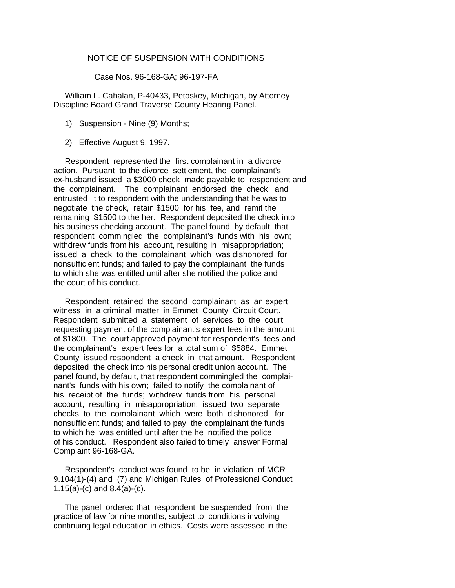## NOTICE OF SUSPENSION WITH CONDITIONS

Case Nos. 96-168-GA; 96-197-FA

 William L. Cahalan, P-40433, Petoskey, Michigan, by Attorney Discipline Board Grand Traverse County Hearing Panel.

- 1) Suspension Nine (9) Months;
- 2) Effective August 9, 1997.

 Respondent represented the first complainant in a divorce action. Pursuant to the divorce settlement, the complainant's ex-husband issued a \$3000 check made payable to respondent and the complainant. The complainant endorsed the check and entrusted it to respondent with the understanding that he was to negotiate the check, retain \$1500 for his fee, and remit the remaining \$1500 to the her. Respondent deposited the check into his business checking account. The panel found, by default, that respondent commingled the complainant's funds with his own; withdrew funds from his account, resulting in misappropriation; issued a check to the complainant which was dishonored for nonsufficient funds; and failed to pay the complainant the funds to which she was entitled until after she notified the police and the court of his conduct.

 Respondent retained the second complainant as an expert witness in a criminal matter in Emmet County Circuit Court. Respondent submitted a statement of services to the court requesting payment of the complainant's expert fees in the amount of \$1800. The court approved payment for respondent's fees and the complainant's expert fees for a total sum of \$5884. Emmet County issued respondent a check in that amount. Respondent deposited the check into his personal credit union account. The panel found, by default, that respondent commingled the complainant's funds with his own; failed to notify the complainant of his receipt of the funds; withdrew funds from his personal account, resulting in misappropriation; issued two separate checks to the complainant which were both dishonored for nonsufficient funds; and failed to pay the complainant the funds to which he was entitled until after the he notified the police of his conduct. Respondent also failed to timely answer Formal Complaint 96-168-GA.

 Respondent's conduct was found to be in violation of MCR 9.104(1)-(4) and (7) and Michigan Rules of Professional Conduct 1.15(a)-(c) and 8.4(a)-(c).

 The panel ordered that respondent be suspended from the practice of law for nine months, subject to conditions involving continuing legal education in ethics. Costs were assessed in the